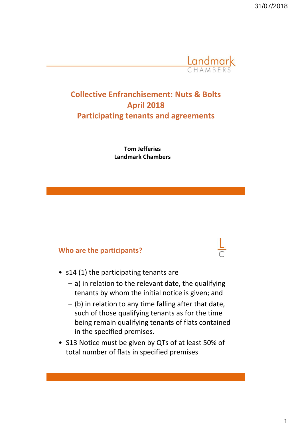

# **Collective Enfranchisement: Nuts & Bolts April 2018 Participating tenants and agreements**

**Tom Jefferies Landmark Chambers**

### **Who are the participants?**

- s14 (1) the participating tenants are
	- a) in relation to the relevant date, the qualifying tenants by whom the initial notice is given; and
	- (b) in relation to any time falling after that date, such of those qualifying tenants as for the time being remain qualifying tenants of flats contained in the specified premises.
- S13 Notice must be given by QTs of at least 50% of total number of flats in specified premises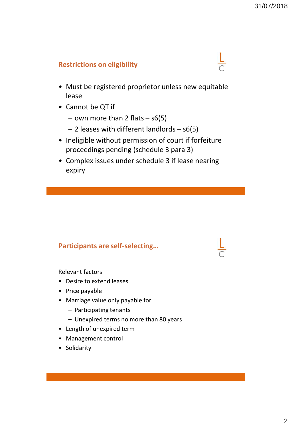$\frac{L}{C}$ 

# **Restrictions on eligibility**

- Must be registered proprietor unless new equitable lease
- Cannot be QT if
	- $-$  own more than 2 flats  $-$  s6(5)
	- 2 leases with different landlords s6(5)
- Ineligible without permission of court if forfeiture proceedings pending (schedule 3 para 3)
- Complex issues under schedule 3 if lease nearing expiry

# **Participants are self-selecting…**

Relevant factors

- Desire to extend leases
- Price payable
- Marriage value only payable for
	- Participating tenants
	- Unexpired terms no more than 80 years
- Length of unexpired term
- Management control
- Solidarity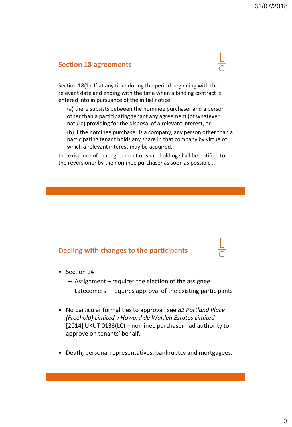#### **Section 18 agreements**

Section 18(1): If at any time during the period beginning with the relevant date and ending with the time when a binding contract is entered into in pursuance of the initial notice—

(a) there subsists between the nominee purchaser and a person other than a participating tenant any agreement (of whatever nature) providing for the disposal of a relevant interest, or

(b) if the nominee purchaser is a company, any person other than a participating tenant holds any share in that company by virtue of which a relevant interest may be acquired,

the existence of that agreement or shareholding shall be notified to the reversioner by the nominee purchaser as soon as possible ...

#### **Dealing with changes to the participants**

- Section 14
	- Assignment requires the election of the assignee
	- Latecomers requires approval of the existing participants
- No particular formalities to approval: see *82 Portland Place (Freehold) Limited v Howard de Walden Estates Limited*  [2014] UKUT 0133(LC) – nominee purchaser had authority to approve on tenants' behalf.
- Death, personal representatives, bankruptcy and mortgagees.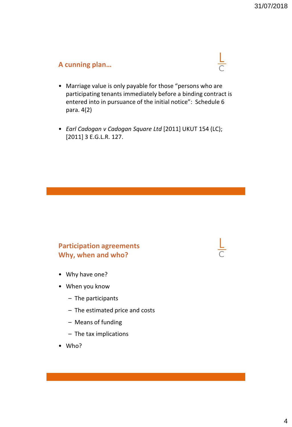## **A cunning plan…**



- Marriage value is only payable for those "persons who are participating tenants immediately before a binding contract is entered into in pursuance of the initial notice": Schedule 6 para. 4(2)
- *Earl Cadogan v Cadogan Square Ltd* [2011] UKUT 154 (LC); [2011] 3 E.G.L.R. 127.

### **Participation agreements Why, when and who?**

- Why have one?
- When you know
	- The participants
	- The estimated price and costs
	- Means of funding
	- The tax implications
- Who?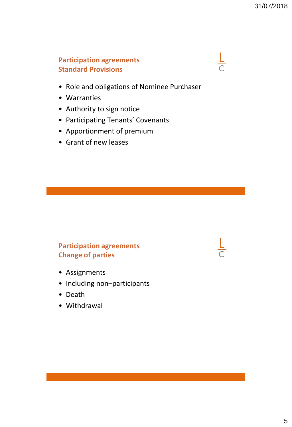# **Participation agreements Standard Provisions**

- Role and obligations of Nominee Purchaser
- Warranties
- Authority to sign notice
- Participating Tenants' Covenants
- Apportionment of premium
- Grant of new leases

# **Participation agreements Change of parties**

- Assignments
- Including non–participants
- Death
- Withdrawal